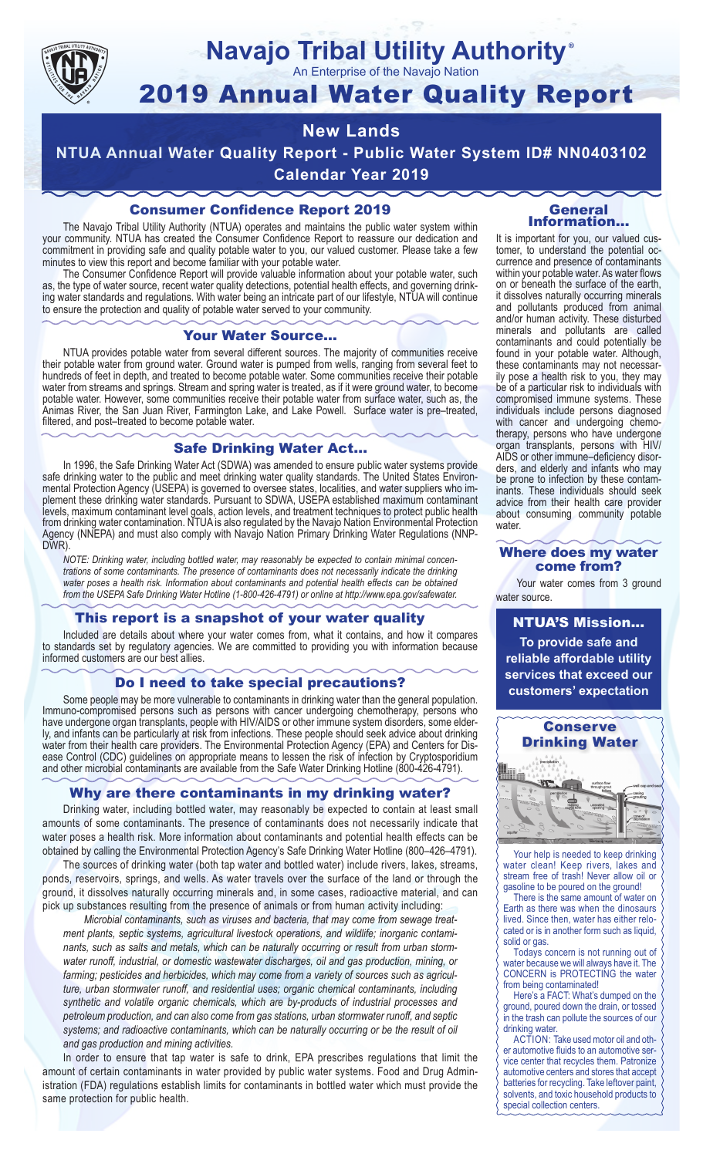

## **Navajo Tribal Utility Authority** ®

An Enterprise of the Navajo Nation

# 2019 Annual Water Quality Report

# **New Lands**

**NTUA Annual Water Quality Report - Public Water System ID# NN0403102 Calendar Year 2019**

## Consumer Confidence Report 2019

The Navajo Tribal Utility Authority (NTUA) operates and maintains the public water system within your community. NTUA has created the Consumer Confidence Report to reassure our dedication and commitment in providing safe and quality potable water to you, our valued customer. Please take a few minutes to view this report and become familiar with your potable water.

The Consumer Confidence Report will provide valuable information about your potable water, such as, the type of water source, recent water quality detections, potential health effects, and governing drinking water standards and regulations. With water being an intricate part of our lifestyle, NTUA will continue to ensure the protection and quality of potable water served to your community.

#### Your Water Source…

NTUA provides potable water from several different sources. The majority of communities receive their potable water from ground water. Ground water is pumped from wells, ranging from several feet to hundreds of feet in depth, and treated to become potable water. Some communities receive their potable water from streams and springs. Stream and spring water is treated, as if it were ground water, to become potable water. However, some communities receive their potable water from surface water, such as, the Animas River, the San Juan River, Farmington Lake, and Lake Powell. Surface water is pre–treated, filtered, and post–treated to become potable water.

### Safe Drinking Water Act…

In 1996, the Safe Drinking Water Act (SDWA) was amended to ensure public water systems provide safe drinking water to the public and meet drinking water quality standards. The United States Environmental Protection Agency (USEPA) is governed to oversee states, localities, and water suppliers who implement these drinking water standards. Pursuant to SDWA, USEPA established maximum contaminant levels, maximum contaminant level goals, action levels, and treatment techniques to protect public health from drinking water contamination. NTUA is also regulated by the Navajo Nation Environmental Protection Agency (NNEPA) and must also comply with Navajo Nation Primary Drinking Water Regulations (NNP-DWR)

*NOTE: Drinking water, including bottled water, may reasonably be expected to contain minimal concentrations of some contaminants. The presence of contaminants does not necessarily indicate the drinking water poses a health risk. Information about contaminants and potential health effects can be obtained from the USEPA Safe Drinking Water Hotline (1-800-426-4791) or online at http://www.epa.gov/safewater.*

## This report is a snapshot of your water quality

Included are details about where your water comes from, what it contains, and how it compares to standards set by regulatory agencies. We are committed to providing you with information because informed customers are our best allies.

## Do I need to take special precautions?

Some people may be more vulnerable to contaminants in drinking water than the general population. Immuno-compromised persons such as persons with cancer undergoing chemotherapy, persons who have undergone organ transplants, people with HIV/AIDS or other immune system disorders, some elderly, and infants can be particularly at risk from infections. These people should seek advice about drinking water from their health care providers. The Environmental Protection Agency (EPA) and Centers for Disease Control (CDC) guidelines on appropriate means to lessen the risk of infection by Cryptosporidium and other microbial contaminants are available from the Safe Water Drinking Hotline (800-426-4791).

## Why are there contaminants in my drinking water?

Drinking water, including bottled water, may reasonably be expected to contain at least small amounts of some contaminants. The presence of contaminants does not necessarily indicate that water poses a health risk. More information about contaminants and potential health effects can be obtained by calling the Environmental Protection Agency's Safe Drinking Water Hotline (800–426–4791).

The sources of drinking water (both tap water and bottled water) include rivers, lakes, streams, ponds, reservoirs, springs, and wells. As water travels over the surface of the land or through the ground, it dissolves naturally occurring minerals and, in some cases, radioactive material, and can pick up substances resulting from the presence of animals or from human activity including:

*Microbial contaminants, such as viruses and bacteria, that may come from sewage treatment plants, septic systems, agricultural livestock operations, and wildlife; inorganic contaminants, such as salts and metals, which can be naturally occurring or result from urban stormwater runoff, industrial, or domestic wastewater discharges, oil and gas production, mining, or farming; pesticides and herbicides, which may come from a variety of sources such as agriculture, urban stormwater runoff, and residential uses; organic chemical contaminants, including synthetic and volatile organic chemicals, which are by-products of industrial processes and petroleum production, and can also come from gas stations, urban stormwater runoff, and septic systems; and radioactive contaminants, which can be naturally occurring or be the result of oil and gas production and mining activities.*

In order to ensure that tap water is safe to drink, EPA prescribes regulations that limit the amount of certain contaminants in water provided by public water systems. Food and Drug Administration (FDA) regulations establish limits for contaminants in bottled water which must provide the same protection for public health.

#### General Information…

It is important for you, our valued customer, to understand the potential occurrence and presence of contaminants within your potable water. As water flows on or beneath the surface of the earth, it dissolves naturally occurring minerals and pollutants produced from animal and/or human activity. These disturbed minerals and pollutants are called contaminants and could potentially be found in your potable water. Although, these contaminants may not necessarily pose a health risk to you, they may be of a particular risk to individuals with compromised immune systems. These individuals include persons diagnosed with cancer and undergoing chemo-<br>therapy, persons who have undergone organ transplants, persons with HIV/ AIDS or other immune–deficiency disor- ders, and elderly and infants who may be prone to infection by these contam- inants. These individuals should seek advice from their health care provider about consuming community potable water.

#### Where does my water come from?

Your water comes from 3 ground water source.

NTUA'S Mission... **To provide safe and reliable affordable utility services that exceed our customers' expectation**



Your help is needed to keep drinking water clean! Keep rivers, lakes and stream free of trash! Never allow oil or gasoline to be poured on the ground!

There is the same amount of water on Earth as there was when the dinosaurs lived. Since then, water has either relocated or is in another form such as liquid, solid or gas.

Todays concern is not running out of water because we will always have it. The CONCERN is PROTECTING the water from being contaminated!

Here's a FACT: What's dumped on the ground, poured down the drain, or tossed in the trash can pollute the sources of our drinking water.

ACTION: Take used motor oil and other automotive fluids to an automotive service center that recycles them. Patronize automotive centers and stores that accept batteries for recycling. Take leftover paint, solvents, and toxic household products to special collection centers.